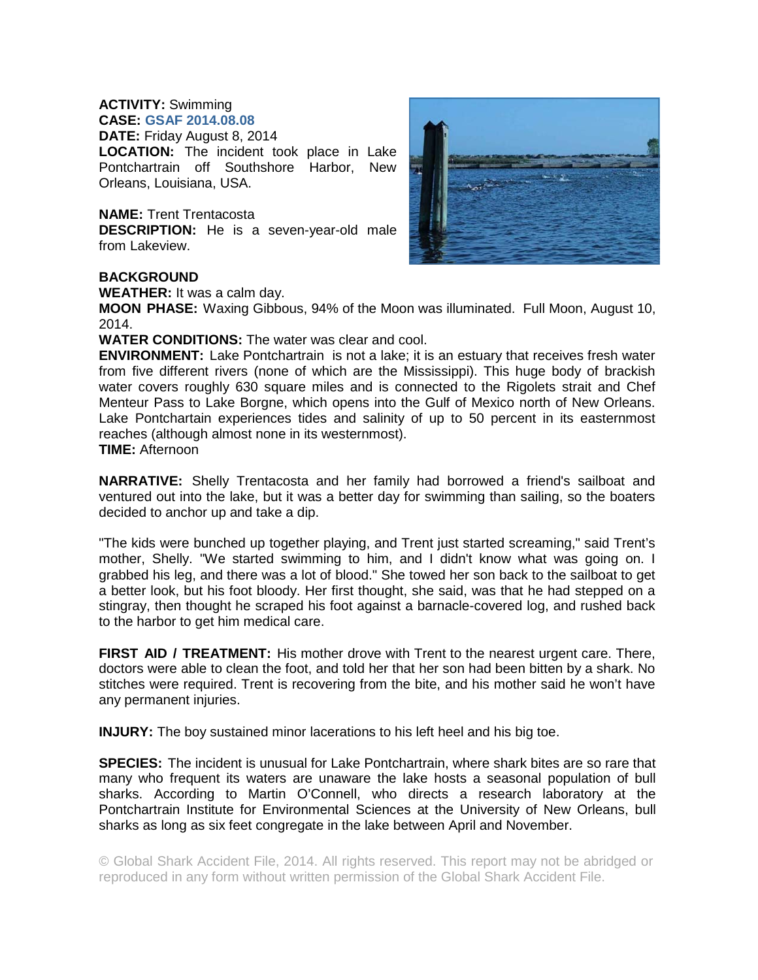## **ACTIVITY:** Swimming

**CASE: GSAF 2014.08.08 DATE:** Friday August 8, 2014

**LOCATION:** The incident took place in Lake Pontchartrain off Southshore Harbor, New Orleans, Louisiana, USA.

**NAME:** Trent Trentacosta

**DESCRIPTION:** He is a seven-year-old male from Lakeview.



## **BACKGROUND**

**WEATHER:** It was a calm day.

**MOON PHASE:** Waxing Gibbous, 94% of the Moon was illuminated. Full Moon, August 10, 2014.

**WATER CONDITIONS:** The water was clear and cool.

**ENVIRONMENT:** Lake Pontchartrain is not a lake; it is an estuary that receives fresh water from five different rivers (none of which are the Mississippi). This huge body of brackish water covers roughly 630 square miles and is connected to the Rigolets strait and Chef Menteur Pass to Lake Borgne, which opens into the Gulf of Mexico north of New Orleans. Lake Pontchartain experiences tides and salinity of up to 50 percent in its easternmost reaches (although almost none in its westernmost).

**TIME:** Afternoon

**NARRATIVE:** Shelly Trentacosta and her family had borrowed a friend's sailboat and ventured out into the lake, but it was a better day for swimming than sailing, so the boaters decided to anchor up and take a dip.

"The kids were bunched up together playing, and Trent just started screaming," said Trent's mother, Shelly. "We started swimming to him, and I didn't know what was going on. I grabbed his leg, and there was a lot of blood." She towed her son back to the sailboat to get a better look, but his foot bloody. Her first thought, she said, was that he had stepped on a stingray, then thought he scraped his foot against a barnacle-covered log, and rushed back to the harbor to get him medical care.

**FIRST AID / TREATMENT:** His mother drove with Trent to the nearest urgent care. There, doctors were able to clean the foot, and told her that her son had been bitten by a shark. No stitches were required. Trent is recovering from the bite, and his mother said he won't have any permanent injuries.

**INJURY:** The boy sustained minor lacerations to his left heel and his big toe.

**SPECIES:** The incident is unusual for Lake Pontchartrain, where shark bites are so rare that many who frequent its waters are unaware the lake hosts a seasonal population of bull sharks. According to Martin O'Connell, who directs a research laboratory at the Pontchartrain Institute for Environmental Sciences at the University of New Orleans, bull sharks as long as six feet congregate in the lake between April and November.

© Global Shark Accident File, 2014. All rights reserved. This report may not be abridged or reproduced in any form without written permission of the Global Shark Accident File.